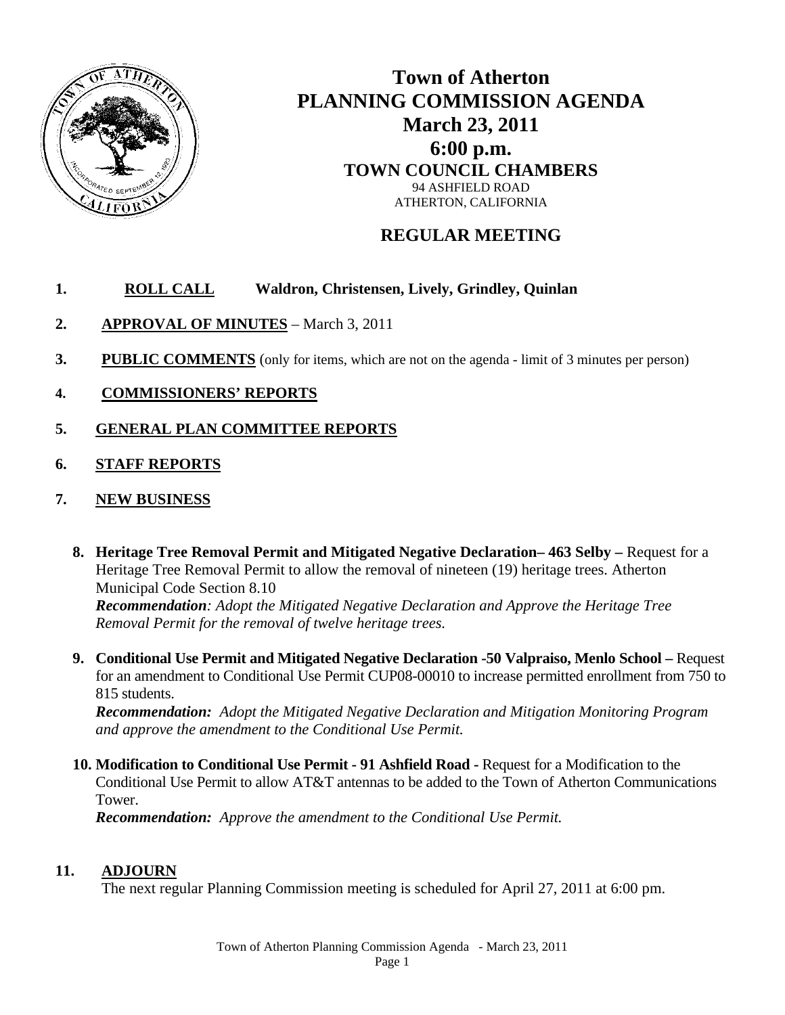

## **Town of Atherton PLANNING COMMISSION AGENDA March 23, 2011 6:00 p.m. TOWN COUNCIL CHAMBERS** 94 ASHFIELD ROAD ATHERTON, CALIFORNIA

## **REGULAR MEETING**

## **1. ROLL CALL Waldron, Christensen, Lively, Grindley, Quinlan**

- **2. APPROVAL OF MINUTES** March 3, 2011
- **3. PUBLIC COMMENTS** (only for items, which are not on the agenda limit of 3 minutes per person)
- **4. COMMISSIONERS' REPORTS**
- **5. GENERAL PLAN COMMITTEE REPORTS**
- **6. STAFF REPORTS**
- **7. NEW BUSINESS**
	- **8. Heritage Tree Removal Permit and Mitigated Negative Declaration– 463 Selby –** Request for a Heritage Tree Removal Permit to allow the removal of nineteen (19) heritage trees. Atherton Municipal Code Section 8.10

*Recommendation: Adopt the Mitigated Negative Declaration and Approve the Heritage Tree Removal Permit for the removal of twelve heritage trees.*

**9. Conditional Use Permit and Mitigated Negative Declaration -50 Valpraiso, Menlo School –** Request for an amendment to Conditional Use Permit CUP08-00010 to increase permitted enrollment from 750 to 815 students.

*Recommendation: Adopt the Mitigated Negative Declaration and Mitigation Monitoring Program and approve the amendment to the Conditional Use Permit.*

**10. Modification to Conditional Use Permit - 91 Ashfield Road -** Request for a Modification to the Conditional Use Permit to allow AT&T antennas to be added to the Town of Atherton Communications Tower.

*Recommendation: Approve the amendment to the Conditional Use Permit.*

## **11. ADJOURN**

The next regular Planning Commission meeting is scheduled for April 27, 2011 at 6:00 pm.